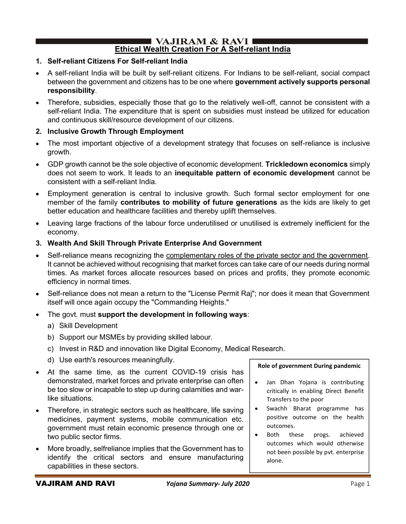#### $\blacksquare$  VAJIRAM & RAVI  $\blacksquare$ Ethical Wealth Creation For A Self-reliant India

## 1. Self-reliant Citizens For Self-reliant India

- A self-reliant India will be built by self-reliant citizens. For Indians to be self-reliant, social compact between the government and citizens has to be one where government actively supports personal responsibility.
- Therefore, subsidies, especially those that go to the relatively well-off, cannot be consistent with a self-reliant India. The expenditure that is spent on subsidies must instead be utilized for education and continuous skill/resource development of our citizens.

## 2. Inclusive Growth Through Employment

- The most important objective of a development strategy that focuses on self-reliance is inclusive growth.
- GDP growth cannot be the sole objective of economic development. Trickledown economics simply does not seem to work. It leads to an inequitable pattern of economic development cannot be consistent with a self-reliant India.
- Employment generation is central to inclusive growth. Such formal sector employment for one member of the family contributes to mobility of future generations as the kids are likely to get better education and healthcare facilities and thereby uplift themselves.
- Leaving large fractions of the labour force underutilised or unutilised is extremely inefficient for the economy.

## 3. Wealth And Skill Through Private Enterprise And Government

- Self-reliance means recognizing the complementary roles of the private sector and the government. It cannot be achieved without recognising that market forces can take care of our needs during normal times. As market forces allocate resources based on prices and profits, they promote economic efficiency in normal times.
- Self-reliance does not mean a return to the "License Permit Raj"; nor does it mean that Government itself will once again occupy the "Commanding Heights."
- The govt. must support the development in following ways:
	- a) Skill Development
	- b) Support our MSMEs by providing skilled labour.
	- c) Invest in R&D and innovation like Digital Economy, Medical Research.
	- d) Use earth's resources meaningfully.
- At the same time, as the current COVID-19 crisis has demonstrated, market forces and private enterprise can often be too slow or incapable to step up during calamities and warlike situations.
- Therefore, in strategic sectors such as healthcare, life saving medicines, payment systems, mobile communication etc. government must retain economic presence through one or two public sector firms.
- More broadly, selfreliance implies that the Government has to identify the critical sectors and ensure manufacturing capabilities in these sectors.

#### Role of government During pandemic

- $\bullet$ Jan Dhan Yojana is contributing critically in enabling Direct Benefit Transfers to the poor
- $\bullet$ Swachh Bharat programme has positive outcome on the health outcomes.
- Both these progs. achieved outcomes which would otherwise not been possible by pvt. enterprise alone.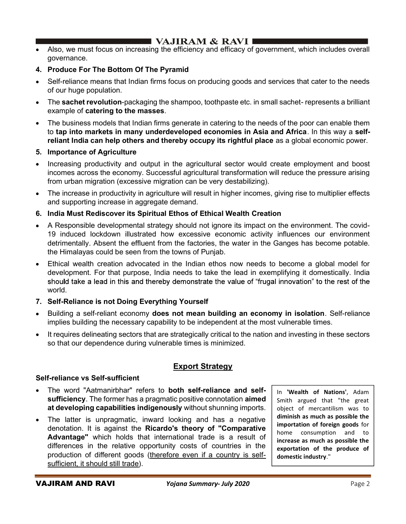- Also, we must focus on increasing the efficiency and efficacy of government, which includes overall governance.
- 4. Produce For The Bottom Of The Pyramid
- Self-reliance means that Indian firms focus on producing goods and services that cater to the needs of our huge population.
- The **sachet revolution**-packaging the shampoo, toothpaste etc. in small sachet- represents a brilliant example of catering to the masses.
- The business models that Indian firms generate in catering to the needs of the poor can enable them to tap into markets in many underdeveloped economies in Asia and Africa. In this way a selfreliant India can help others and thereby occupy its rightful place as a global economic power.

## 5. Importance of Agriculture

- Increasing productivity and output in the agricultural sector would create employment and boost incomes across the economy. Successful agricultural transformation will reduce the pressure arising from urban migration (excessive migration can be very destabilizing).
- The increase in productivity in agriculture will result in higher incomes, giving rise to multiplier effects and supporting increase in aggregate demand.
- 6. India Must Rediscover its Spiritual Ethos of Ethical Wealth Creation
- A Responsible developmental strategy should not ignore its impact on the environment. The covid-19 induced lockdown illustrated how excessive economic activity influences our environment detrimentally. Absent the effluent from the factories, the water in the Ganges has become potable. the Himalayas could be seen from the towns of Punjab.
- Ethical wealth creation advocated in the Indian ethos now needs to become a global model for development. For that purpose, India needs to take the lead in exemplifying it domestically. India should take a lead in this and thereby demonstrate the value of "frugal innovation" to the rest of the world.

## 7. Self-Reliance is not Doing Everything Yourself

- Building a self-reliant economy does not mean building an economy in isolation. Self-reliance implies building the necessary capability to be independent at the most vulnerable times.
- It requires delineating sectors that are strategically critical to the nation and investing in these sectors so that our dependence during vulnerable times is minimized.

## Export Strategy

## Self-reliance vs Self-sufficient

- The word "Aatmanirbhar" refers to both self-reliance and selfsufficiency. The former has a pragmatic positive connotation aimed at developing capabilities indigenously without shunning imports.
- The latter is unpragmatic, inward looking and has a negative denotation. It is against the Ricardo's theory of "Comparative Advantage" which holds that international trade is a result of differences in the relative opportunity costs of countries in the production of different goods (therefore even if a country is selfsufficient, it should still trade).

In 'Wealth of Nations', Adam Smith argued that "the great object of mercantilism was to diminish as much as possible the importation of foreign goods for home consumption and to increase as much as possible the exportation of the produce of domestic industry."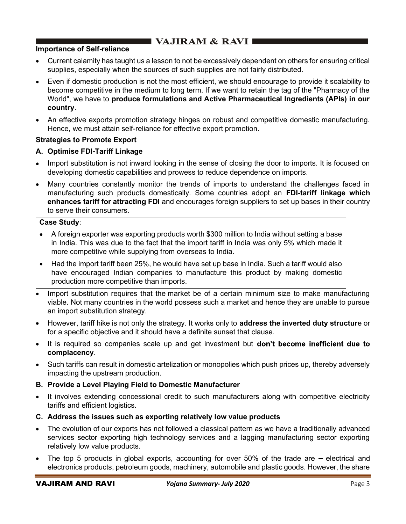## Importance of Self-reliance

- Current calamity has taught us a lesson to not be excessively dependent on others for ensuring critical supplies, especially when the sources of such supplies are not fairly distributed.
- Even if domestic production is not the most efficient, we should encourage to provide it scalability to become competitive in the medium to long term. If we want to retain the tag of the "Pharmacy of the World", we have to produce formulations and Active Pharmaceutical Ingredients (APls) in our country.
- An effective exports promotion strategy hinges on robust and competitive domestic manufacturing. Hence, we must attain self-reliance for effective export promotion.

## Strategies to Promote Export

## A. Optimise FDI-Tariff Linkage

- Import substitution is not inward looking in the sense of closing the door to imports. It is focused on developing domestic capabilities and prowess to reduce dependence on imports.
- Many countries constantly monitor the trends of imports to understand the challenges faced in manufacturing such products domestically. Some countries adopt an FDI-tariff linkage which enhances tariff for attracting FDI and encourages foreign suppliers to set up bases in their country to serve their consumers.

## Case Study:

- A foreign exporter was exporting products worth \$300 million to India without setting a base in India. This was due to the fact that the import tariff in India was only 5% which made it more competitive while supplying from overseas to India.
- Had the import tariff been 25%, he would have set up base in India. Such a tariff would also  $\bullet$ have encouraged Indian companies to manufacture this product by making domestic production more competitive than imports.
- Import substitution requires that the market be of a certain minimum size to make manufacturing viable. Not many countries in the world possess such a market and hence they are unable to pursue an import substitution strategy.
- However, tariff hike is not only the strategy. It works only to **address the inverted duty structur**e or for a specific objective and it should have a definite sunset that clause.
- It is required so companies scale up and get investment but **don't become inefficient due to** complacency.
- Such tariffs can result in domestic artelization or monopolies which push prices up, thereby adversely impacting the upstream production.

## B. Provide a Level Playing Field to Domestic Manufacturer

- It involves extending concessional credit to such manufacturers along with competitive electricity tariffs and efficient logistics.
- C. Address the issues such as exporting relatively low value products
- The evolution of our exports has not followed a classical pattern as we have a traditionally advanced services sector exporting high technology services and a lagging manufacturing sector exporting relatively low value products.
- The top 5 products in global exports, accounting for over  $50\%$  of the trade are  $-$  electrical and electronics products, petroleum goods, machinery, automobile and plastic goods. However, the share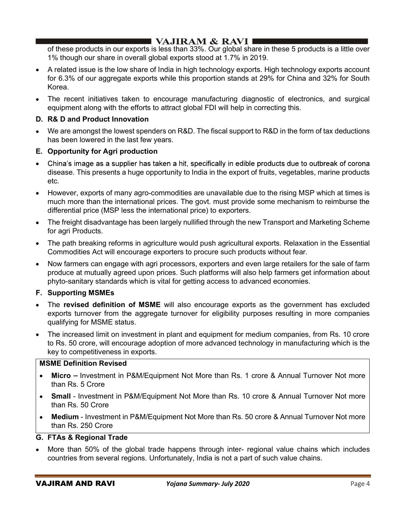of these products in our exports is less than 33%. Our global share in these 5 products is a little over 1% though our share in overall global exports stood at 1.7% in 2019.

- A related issue is the low share of India in high technology exports. High technology exports account for 6.3% of our aggregate exports while this proportion stands at 29% for China and 32% for South Korea.
- The recent initiatives taken to encourage manufacturing diagnostic of electronics, and surgical equipment along with the efforts to attract global FDI will help in correcting this.

## D. R& D and Product Innovation

 We are amongst the lowest spenders on R&D. The fiscal support to R&D in the form of tax deductions has been lowered in the last few years.

## E. Opportunity for Agri production

- China's image as a supplier has taken a hit, specifically in edible products due to outbreak of corona disease. This presents a huge opportunity to India in the export of fruits, vegetables, marine products etc.
- However, exports of many agro-commodities are unavailable due to the rising MSP which at times is much more than the international prices. The govt. must provide some mechanism to reimburse the differential price (MSP less the international price) to exporters.
- The freight disadvantage has been largely nullified through the new Transport and Marketing Scheme for agri Products.
- The path breaking reforms in agriculture would push agricultural exports. Relaxation in the Essential Commodities Act will encourage exporters to procure such products without fear.
- Now farmers can engage with agri processors, exporters and even large retailers for the sale of farm produce at mutually agreed upon prices. Such platforms will also help farmers get information about phyto-sanitary standards which is vital for getting access to advanced economies.

## F. Supporting MSMEs

- The revised definition of MSME will also encourage exports as the government has excluded exports turnover from the aggregate turnover for eligibility purposes resulting in more companies qualifying for MSME status.
- The increased limit on investment in plant and equipment for medium companies, from Rs. 10 crore to Rs. 50 crore, will encourage adoption of more advanced technology in manufacturing which is the key to competitiveness in exports.

## MSME Definition Revised

- Micro Investment in P&M/Equipment Not More than Rs. 1 crore & Annual Turnover Not more  $\bullet$ than Rs. 5 Crore
- Small Investment in P&M/Equipment Not More than Rs. 10 crore & Annual Turnover Not more than Rs. 50 Crore
- Medium Investment in P&M/Equipment Not More than Rs. 50 crore & Annual Turnover Not more  $\bullet$ than Rs. 250 Crore

## G. FTAs & Regional Trade

 More than 50% of the global trade happens through inter- regional value chains which includes countries from several regions. Unfortunately, India is not a part of such value chains.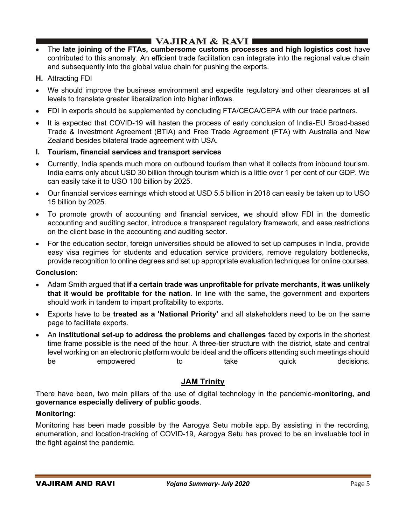- The late joining of the FTAs, cumbersome customs processes and high logistics cost have contributed to this anomaly. An efficient trade facilitation can integrate into the regional value chain and subsequently into the global value chain for pushing the exports.
- H. Attracting FDI
- We should improve the business environment and expedite regulatory and other clearances at all levels to translate greater liberalization into higher inflows.
- FDI in exports should be supplemented by concluding FTA/CECA/CEPA with our trade partners.
- It is expected that COVID-19 will hasten the process of early conclusion of India-EU Broad-based Trade & Investment Agreement (BTIA) and Free Trade Agreement (FTA) with Australia and New Zealand besides bilateral trade agreement with USA.
- I. Tourism, financial services and transport services
- Currently, India spends much more on outbound tourism than what it collects from inbound tourism. India earns only about USD 30 billion through tourism which is a little over 1 per cent of our GDP. We can easily take it to USO 100 billion by 2025.
- Our financial services earnings which stood at USD 5.5 billion in 2018 can easily be taken up to USO 15 billion by 2025.
- To promote growth of accounting and financial services, we should allow FDI in the domestic accounting and auditing sector, introduce a transparent regulatory framework, and ease restrictions on the client base in the accounting and auditing sector.
- For the education sector, foreign universities should be allowed to set up campuses in India, provide easy visa regimes for students and education service providers, remove regulatory bottlenecks, provide recognition to online degrees and set up appropriate evaluation techniques for online courses.

## Conclusion:

- Adam Smith argued that if a certain trade was unprofitable for private merchants, it was unlikely that it would be profitable for the nation. In line with the same, the government and exporters should work in tandem to impart profitability to exports.
- Exports have to be treated as a 'National Priority' and all stakeholders need to be on the same page to facilitate exports.
- An institutional set-up to address the problems and challenges faced by exports in the shortest time frame possible is the need of the hour. A three-tier structure with the district, state and central level working on an electronic platform would be ideal and the officers attending such meetings should be empowered to take quick decisions.

# **JAM Trinity**

There have been, two main pillars of the use of digital technology in the pandemic-monitoring, and governance especially delivery of public goods.

## Monitoring:

Monitoring has been made possible by the Aarogya Setu mobile app. By assisting in the recording, enumeration, and location-tracking of COVID-19, Aarogya Setu has proved to be an invaluable tool in the fight against the pandemic.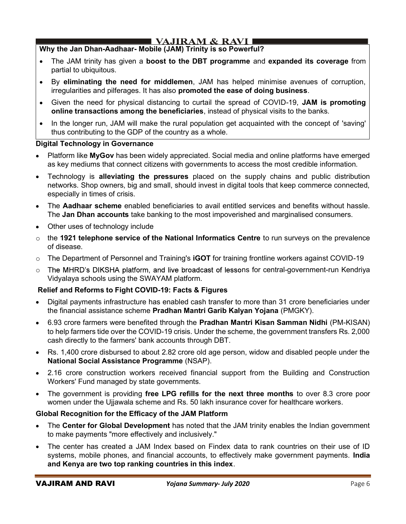# I VAJIRAM & RAVI I

## Why the Jan Dhan-Aadhaar- Mobile (JAM) Trinity is so Powerful?

- The JAM trinity has given a boost to the DBT programme and expanded its coverage from partial to ubiquitous.
- By eliminating the need for middlemen, JAM has helped minimise avenues of corruption, irregularities and pilferages. It has also promoted the ease of doing business.
- Given the need for physical distancing to curtail the spread of COVID-19, JAM is promoting online transactions among the beneficiaries, instead of physical visits to the banks.
- In the longer run, JAM will make the rural population get acquainted with the concept of 'saving' thus contributing to the GDP of the country as a whole.

## Digital Technology in Governance

- Platform like MyGov has been widely appreciated. Social media and online platforms have emerged as key mediums that connect citizens with governments to access the most credible information.
- Technology is alleviating the pressures placed on the supply chains and public distribution networks. Shop owners, big and small, should invest in digital tools that keep commerce connected, especially in times of crisis.
- The Aadhaar scheme enabled beneficiaries to avail entitled services and benefits without hassle. The Jan Dhan accounts take banking to the most impoverished and marginalised consumers.
- Other uses of technology include
- $\circ$  the 1921 telephone service of the National Informatics Centre to run surveys on the prevalence of disease.
- $\circ$  The Department of Personnel and Training's **iGOT** for training frontline workers against COVID-19
- $\circ$  The MHRD's DIKSHA platform, and live broadcast of lessons for central-government-run Kendriya Vidyalaya schools using the SWAYAM platform.

## Relief and Reforms to Fight COVID-19: Facts & Figures

- Digital payments infrastructure has enabled cash transfer to more than 31 crore beneficiaries under the financial assistance scheme Pradhan Mantri Garib Kalyan Yojana (PMGKY).
- 6.93 crore farmers were benefited through the Pradhan Mantri Kisan Samman Nidhi (PM-KISAN) to help farmers tide over the COVID-19 crisis. Under the scheme, the government transfers Rs. 2,000 cash directly to the farmers' bank accounts through DBT.
- Rs. 1,400 crore disbursed to about 2.82 crore old age person, widow and disabled people under the National Social Assistance Programme (NSAP).
- 2.16 crore construction workers received financial support from the Building and Construction Workers' Fund managed by state governments.
- The government is providing free LPG refills for the next three months to over 8.3 crore poor women under the Ujjawala scheme and Rs. 50 lakh insurance cover for healthcare workers.

## Global Recognition for the Efficacy of the JAM Platform

- The Center for Global Development has noted that the JAM trinity enables the Indian government to make payments "more effectively and inclusively."
- The center has created a JAM Index based on Findex data to rank countries on their use of ID systems, mobile phones, and financial accounts, to effectively make government payments. India and Kenya are two top ranking countries in this index.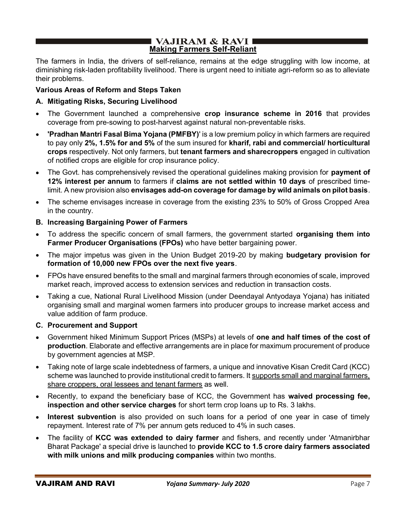## I VAJIRAM & RAVI ■ Making Farmers Self-Reliant

The farmers in India, the drivers of self-reliance, remains at the edge struggling with low income, at diminishing risk-laden profitability livelihood. There is urgent need to initiate agri-reform so as to alleviate their problems.

## Various Areas of Reform and Steps Taken

## A. Mitigating Risks, Securing Livelihood

- The Government launched a comprehensive crop insurance scheme in 2016 that provides coverage from pre-sowing to post-harvest against natural non-preventable risks.
- 'Pradhan Mantri Fasal Bima Yojana (PMFBY)' is a low premium policy in which farmers are required to pay only 2%, 1.5% for and 5% of the sum insured for kharif, rabi and commercial/ horticultural crops respectively. Not only farmers, but tenant farmers and sharecroppers engaged in cultivation of notified crops are eligible for crop insurance policy.
- The Govt. has comprehensively revised the operational guidelines making provision for payment of 12% interest per annum to farmers if claims are not settled within 10 days of prescribed timelimit. A new provision also envisages add-on coverage for damage by wild animals on pilot basis.
- The scheme envisages increase in coverage from the existing 23% to 50% of Gross Cropped Area in the country.

## B. Increasing Bargaining Power of Farmers

- To address the specific concern of small farmers, the government started organising them into Farmer Producer Organisations (FPOs) who have better bargaining power.
- The major impetus was given in the Union Budget 2019-20 by making budgetary provision for formation of 10,000 new FPOs over the next five years.
- FPOs have ensured benefits to the small and marginal farmers through economies of scale, improved market reach, improved access to extension services and reduction in transaction costs.
- Taking a cue, National Rural Livelihood Mission (under Deendayal Antyodaya Yojana) has initiated organising small and marginal women farmers into producer groups to increase market access and value addition of farm produce.

## C. Procurement and Support

- Government hiked Minimum Support Prices (MSPs) at levels of one and half times of the cost of production. Elaborate and effective arrangements are in place for maximum procurement of produce by government agencies at MSP.
- Taking note of large scale indebtedness of farmers, a unique and innovative Kisan Credit Card (KCC) scheme was launched to provide institutional credit to farmers. It supports small and marginal farmers, share croppers, oral lessees and tenant farmers as well.
- Recently, to expand the beneficiary base of KCC, the Government has waived processing fee, inspection and other service charges for short term crop loans up to Rs. 3 lakhs.
- Interest subvention is also provided on such loans for a period of one year in case of timely repayment. Interest rate of 7% per annum gets reduced to 4% in such cases.
- The facility of KCC was extended to dairy farmer and fishers, and recently under 'Atmanirbhar Bharat Package' a special drive is launched to provide KCC to 1.5 crore dairy farmers associated with milk unions and milk producing companies within two months.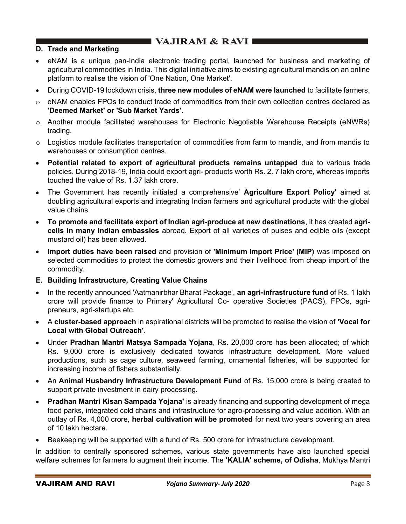## D. Trade and Marketing

- eNAM is a unique pan-India electronic trading portal, launched for business and marketing of agricultural commodities in India. This digital initiative aims to existing agricultural mandis on an online platform to realise the vision of 'One Nation, One Market'.
- During COVID-19 lockdown crisis, three new modules of eNAM were launched to facilitate farmers.
- $\circ$  eNAM enables FPOs to conduct trade of commodities from their own collection centres declared as 'Deemed Market' or 'Sub Market Yards'.
- o Another module facilitated warehouses for Electronic Negotiable Warehouse Receipts (eNWRs) trading.
- $\circ$  Logistics module facilitates transportation of commodities from farm to mandis, and from mandis to warehouses or consumption centres.
- Potential related to export of agricultural products remains untapped due to various trade policies. During 2018-19, India could export agri- products worth Rs. 2. 7 lakh crore, whereas imports touched the value of Rs. 1.37 lakh crore.
- The Government has recently initiated a comprehensive' Agriculture Export Policy' aimed at doubling agricultural exports and integrating Indian farmers and agricultural products with the global value chains.
- To promote and facilitate export of Indian agri-produce at new destinations, it has created agri- $\bullet$ cells in many Indian embassies abroad. Export of all varieties of pulses and edible oils (except mustard oil) has been allowed.
- Import duties have been raised and provision of 'Minimum Import Price' (MIP) was imposed on selected commodities to protect the domestic growers and their livelihood from cheap import of the commodity.
- E. Building Infrastructure, Creating Value Chains
- In the recently announced 'Aatmanirbhar Bharat Package', an agri-infrastructure fund of Rs. 1 lakh crore will provide finance to Primary' Agricultural Co- operative Societies (PACS), FPOs, agripreneurs, agri-startups etc.
- A cluster-based approach in aspirational districts will be promoted to realise the vision of 'Vocal for Local with Global Outreach'.
- Under Pradhan Mantri Matsya Sampada Yojana, Rs. 20,000 crore has been allocated; of which Rs. 9,000 crore is exclusively dedicated towards infrastructure development. More valued productions, such as cage culture, seaweed farming, ornamental fisheries, will be supported for increasing income of fishers substantially.
- An Animal Husbandry Infrastructure Development Fund of Rs. 15,000 crore is being created to support private investment in dairy processing.
- Pradhan Mantri Kisan Sampada Yojana' is already financing and supporting development of mega food parks, integrated cold chains and infrastructure for agro-processing and value addition. With an outlay of Rs. 4,000 crore, herbal cultivation will be promoted for next two years covering an area of 10 lakh hectare.
- Beekeeping will be supported with a fund of Rs. 500 crore for infrastructure development.

In addition to centrally sponsored schemes, various state governments have also launched special welfare schemes for farmers lo augment their income. The 'KALIA' scheme, of Odisha, Mukhya Mantri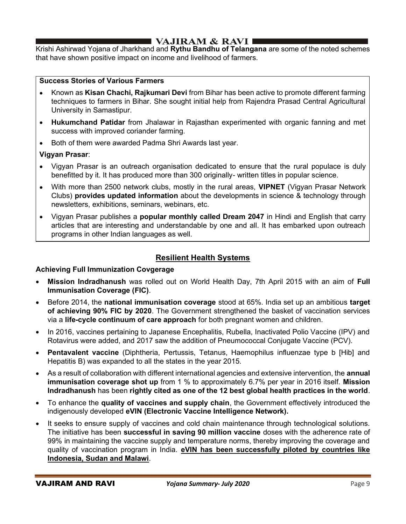## I VAJIRAM & RAVI ∎

Krishi Ashirwad Yojana of Jharkhand and Rythu Bandhu of Telangana are some of the noted schemes that have shown positive impact on income and livelihood of farmers.

## Success Stories of Various Farmers

- Known as Kisan Chachi, Rajkumari Devi from Bihar has been active to promote different farming techniques to farmers in Bihar. She sought initial help from Rajendra Prasad Central Agricultural University in Samastipur.
- Hukumchand Patidar from Jhalawar in Rajasthan experimented with organic fanning and met success with improved coriander farming.
- Both of them were awarded Padma Shri Awards last year.

## Vigyan Prasar:

- Vigyan Prasar is an outreach organisation dedicated to ensure that the rural populace is duly benefitted by it. It has produced more than 300 originally- written titles in popular science.
- With more than 2500 network clubs, mostly in the rural areas, **VIPNET** (Vigyan Prasar Network Clubs) provides updated information about the developments in science & technology through newsletters, exhibitions, seminars, webinars, etc.
- Vigyan Prasar publishes a **popular monthly called Dream 2047** in Hindi and English that carry articles that are interesting and understandable by one and all. It has embarked upon outreach programs in other Indian languages as well.

## Resilient Health Systems

## Achieving Full Immunization Covgerage

- Mission Indradhanush was rolled out on World Health Day, 7th April 2015 with an aim of Full Immunisation Coverage (FIC).
- Before 2014, the national immunisation coverage stood at 65%. India set up an ambitious target of achieving 90% FIC by 2020. The Government strengthened the basket of vaccination services via a life-cycle continuum of care approach for both pregnant women and children.
- In 2016, vaccines pertaining to Japanese Encephalitis, Rubella, Inactivated Polio Vaccine (IPV) and Rotavirus were added, and 2017 saw the addition of Pneumococcal Conjugate Vaccine (PCV).
- Pentavalent vaccine (Diphtheria, Pertussis, Tetanus, Haemophilus influenzae type b [Hib] and Hepatitis B) was expanded to all the states in the year 2015.
- As a result of collaboration with different international agencies and extensive intervention, the **annual** immunisation coverage shot up from 1 % to approximately 6.7% per year in 2016 itself. Mission Indradhanush has been rightly cited as one of the 12 best global health practices in the world.
- To enhance the quality of vaccines and supply chain, the Government effectively introduced the indigenously developed eVIN (Electronic Vaccine Intelligence Network).
- It seeks to ensure supply of vaccines and cold chain maintenance through technological solutions. The initiative has been successful in saving 90 million vaccine doses with the adherence rate of 99% in maintaining the vaccine supply and temperature norms, thereby improving the coverage and quality of vaccination program in India. eVIN has been successfully piloted by countries like Indonesia, Sudan and Malawi.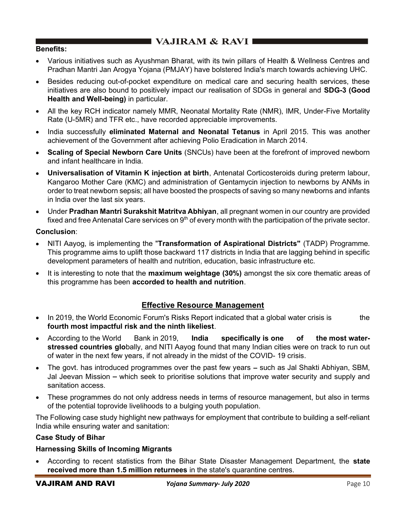## Benefits:

- Various initiatives such as Ayushman Bharat, with its twin pillars of Health & Wellness Centres and Pradhan Mantri Jan Arogya Yojana (PMJAY) have bolstered India's march towards achieving UHC.
- Besides reducing out-of-pocket expenditure on medical care and securing health services, these initiatives are also bound to positively impact our realisation of SDGs in general and SDG-3 (Good Health and Well-being) in particular.
- All the key RCH indicator namely MMR, Neonatal Mortality Rate (NMR), IMR, Under-Five Mortality Rate (U-5MR) and TFR etc., have recorded appreciable improvements.
- India successfully eliminated Maternal and Neonatal Tetanus in April 2015. This was another achievement of the Government after achieving Polio Eradication in March 2014.
- Scaling of Special Newborn Care Units (SNCUs) have been at the forefront of improved newborn  $\bullet$ and infant healthcare in India.
- Universalisation of Vitamin K injection at birth, Antenatal Corticosteroids during preterm labour, Kangaroo Mother Care (KMC) and administration of Gentamycin injection to newborns by ANMs in order to treat newborn sepsis; all have boosted the prospects of saving so many newborns and infants in lndia over the last six years.
- Under Pradhan Mantri Surakshit Matritva Abhiyan, all pregnant women in our country are provided fixed and free Antenatal Care services on  $9<sup>th</sup>$  of every month with the participation of the private sector.

#### Conclusion:

- NITI Aayog, is implementing the "Transformation of Aspirational Districts" (TADP) Programme. This programme aims to uplift those backward 117 districts in India that are lagging behind in specific development parameters of health and nutrition, education, basic infrastructure etc.
- It is interesting to note that the **maximum weightage (30%)** amongst the six core thematic areas of this programme has been accorded to health and nutrition.

## Effective Resource Management

- In 2019, the World Economic Forum's Risks Report indicated that a global water crisis is the fourth most impactful risk and the ninth likeliest.
- According to the World Bank in 2019, India specifically is one of the most waterstressed countries globally, and NITI Aayog found that many Indian cities were on track to run out of water in the next few years, if not already in the midst of the COVID- 19 crisis.
- $\bullet$  The govt. has introduced programmes over the past few years  $-$  such as Jal Shakti Abhiyan, SBM, Jal Jeevan Mission – which seek to prioritise solutions that improve water security and supply and sanitation access.
- These programmes do not only address needs in terms of resource management, but also in terms of the potential toprovide livelihoods to a bulging youth population.

The Following case study highlight new pathways for employment that contribute to building a self-reliant India while ensuring water and sanitation:

#### Case Study of Bihar

## Harnessing Skills of Incoming Migrants

According to recent statistics from the Bihar State Disaster Management Department, the **state** received more than 1.5 million returnees in the state's quarantine centres.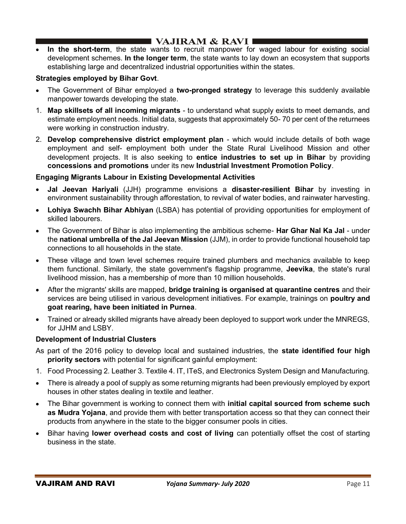In the short-term, the state wants to recruit manpower for waged labour for existing social development schemes. In the longer term, the state wants to lay down an ecosystem that supports establishing large and decentralized industrial opportunities within the states.

## Strategies employed by Bihar Govt.

- The Government of Bihar employed a two-pronged strategy to leverage this suddenly available manpower towards developing the state.
- 1. Map skillsets of all incoming migrants to understand what supply exists to meet demands, and estimate employment needs. Initial data, suggests that approximately 50- 70 per cent of the returnees were working in construction industry.
- 2. Develop comprehensive district employment plan which would include details of both wage employment and self- employment both under the State Rural Livelihood Mission and other development projects. It is also seeking to **entice industries to set up in Bihar** by providing concessions and promotions under its new Industrial Investment Promotion Policy.

## Engaging Migrants Labour in Existing Developmental Activities

- Jal Jeevan Hariyali (JJH) programme envisions a disaster-resilient Bihar by investing in environment sustainability through afforestation, to revival of water bodies, and rainwater harvesting.
- Lohiya Swachh Bihar Abhiyan (LSBA) has potential of providing opportunities for employment of skilled labourers.
- The Government of Bihar is also implementing the ambitious scheme- **Har Ghar Nal Ka Jal** under the national umbrella of the Jal Jeevan Mission (JJM), in order to provide functional household tap connections to all households in the state.
- These village and town level schemes require trained plumbers and mechanics available to keep them functional. Similarly, the state government's flagship programme, Jeevika, the state's rural livelihood mission, has a membership of more than 10 million households.
- After the migrants' skills are mapped, **bridge training is organised at quarantine centres** and their services are being utilised in various development initiatives. For example, trainings on poultry and goat rearing, have been initiated in Purnea.
- Trained or already skilled migrants have already been deployed to support work under the MNREGS, for JJHM and LSBY.

## Development of Industrial Clusters

- As part of the 2016 policy to develop local and sustained industries, the state identified four high priority sectors with potential for significant gainful employment:
- 1. Food Processing 2. Leather 3. Textile 4. IT, ITeS, and Electronics System Design and Manufacturing.
- There is already a pool of supply as some returning migrants had been previously employed by export houses in other states dealing in textile and leather.
- The Bihar government is working to connect them with initial capital sourced from scheme such as Mudra Yojana, and provide them with better transportation access so that they can connect their products from anywhere in the state to the bigger consumer pools in cities.
- Bihar having lower overhead costs and cost of living can potentially offset the cost of starting business in the state.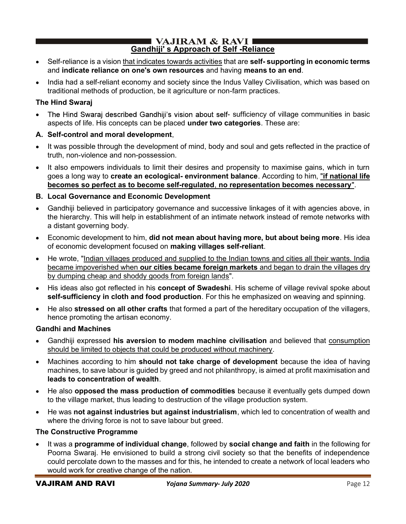## $\blacksquare$  VAJIRAM & RAVI $\blacksquare$ Gandhiji' s Approach of Self -Reliance

- Self-reliance is a vision that indicates towards activities that are self- supporting in economic terms and indicate reliance on one's own resources and having means to an end.
- India had a self-reliant economy and society since the Indus Valley Civilisation, which was based on traditional methods of production, be it agriculture or non-farm practices.

## The Hind Swaraj

The Hind Swaraj described Gandhiji's vision about self- sufficiency of village communities in basic  $\bullet$ aspects of life. His concepts can be placed under two categories. These are:

## A. Self-control and moral development,

- It was possible through the development of mind, body and soul and gets reflected in the practice of truth, non-violence and non-possession.
- It also empowers individuals to limit their desires and propensity to maximise gains, which in turn goes a long way to create an ecological- environment balance. According to him, "if national life becomes so perfect as to become self-regulated, no representation becomes necessary".

## B. Local Governance and Economic Development

- Gandhiji believed in participatory governance and successive linkages of it with agencies above, in the hierarchy. This will help in establishment of an intimate network instead of remote networks with a distant governing body.
- Economic development to him, did not mean about having more, but about being more. His idea of economic development focused on making villages self-reliant.
- He wrote, "Indian villages produced and supplied to the Indian towns and cities all their wants. India became impoverished when our cities became foreign markets and began to drain the villages dry by dumping cheap and shoddy goods from foreign lands".
- His ideas also got reflected in his **concept of Swadeshi**. His scheme of village revival spoke about self-sufficiency in cloth and food production. For this he emphasized on weaving and spinning.
- He also stressed on all other crafts that formed a part of the hereditary occupation of the villagers, hence promoting the artisan economy.

## Gandhi and Machines

- Gandhiji expressed his aversion to modem machine civilisation and believed that consumption should be limited to objects that could be produced without machinery.
- Machines according to him should not take charge of development because the idea of having machines, to save labour is guided by greed and not philanthropy, is aimed at profit maximisation and leads to concentration of wealth.
- He also opposed the mass production of commodities because it eventually gets dumped down to the village market, thus leading to destruction of the village production system.
- He was not against industries but against industrialism, which led to concentration of wealth and where the driving force is not to save labour but greed.

## The Constructive Programme

It was a programme of individual change, followed by social change and faith in the following for Poorna Swaraj. He envisioned to build a strong civil society so that the benefits of independence could percolate down to the masses and for this, he intended to create a network of local leaders who would work for creative change of the nation.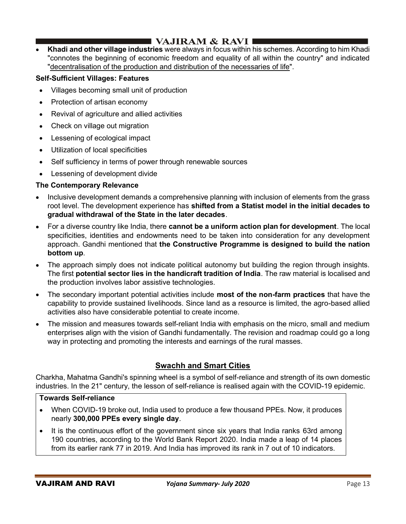# I VAJIRAM  $\&$  RAVI  $\blacksquare$

Khadi and other village industries were always in focus within his schemes. According to him Khadi "connotes the beginning of economic freedom and equality of all within the country" and indicated "decentralisation of the production and distribution of the necessaries of life".

## Self-Sufficient Villages: Features

- Villages becoming small unit of production
- Protection of artisan economy
- Revival of agriculture and allied activities
- Check on village out migration
- Lessening of ecological impact
- Utilization of local specificities
- Self sufficiency in terms of power through renewable sources
- Lessening of development divide

## The Contemporary Relevance

- Inclusive development demands a comprehensive planning with inclusion of elements from the grass root level. The development experience has shifted from a Statist model in the initial decades to gradual withdrawal of the State in the later decades.
- For a diverse country like India, there cannot be a uniform action plan for development. The local specificities, identities and endowments need to be taken into consideration for any development approach. Gandhi mentioned that the Constructive Programme is designed to build the nation bottom up.
- The approach simply does not indicate political autonomy but building the region through insights. The first **potential sector lies in the handicraft tradition of India**. The raw material is localised and the production involves labor assistive technologies.
- The secondary important potential activities include most of the non-farm practices that have the capability to provide sustained livelihoods. Since land as a resource is limited, the agro-based allied activities also have considerable potential to create income.
- The mission and measures towards self-reliant India with emphasis on the micro, small and medium enterprises align with the vision of Gandhi fundamentally. The revision and roadmap could go a long way in protecting and promoting the interests and earnings of the rural masses.

## Swachh and Smart Cities

Charkha, Mahatma Gandhi's spinning wheel is a symbol of self-reliance and strength of its own domestic industries. In the 21" century, the lesson of self-reliance is realised again with the COVID-19 epidemic.

## Towards Self-reliance

- When COVID-19 broke out, India used to produce a few thousand PPEs. Now, it produces nearly 300,000 PPEs every single day.
- It is the continuous effort of the government since six years that India ranks 63rd among 190 countries, according to the World Bank Report 2020. India made a leap of 14 places from its earlier rank 77 in 2019. And India has improved its rank in 7 out of 10 indicators.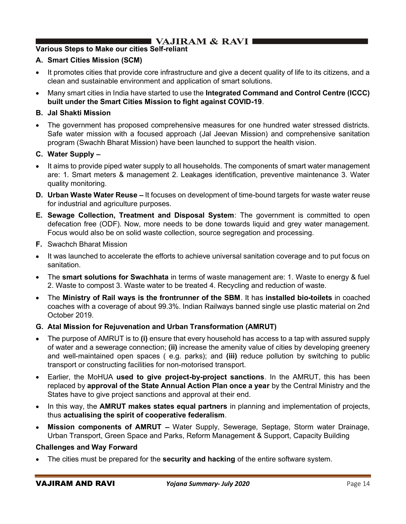## Various Steps to Make our cities Self-reliant

## A. Smart Cities Mission (SCM)

- It promotes cities that provide core infrastructure and give a decent quality of life to its citizens, and a clean and sustainable environment and application of smart solutions.
- Many smart cities in India have started to use the Integrated Command and Control Centre (ICCC) built under the Smart Cities Mission to fight against COVID-19.

## B. Jal Shakti Mission

 The government has proposed comprehensive measures for one hundred water stressed districts. Safe water mission with a focused approach (Jal Jeevan Mission) and comprehensive sanitation program (Swachh Bharat Mission) have been launched to support the health vision.

## C. Water Supply

- It aims to provide piped water supply to all households. The components of smart water management are: 1. Smart meters & management 2. Leakages identification, preventive maintenance 3. Water quality monitoring.
- **D. Urban Waste Water Reuse** It focuses on development of time-bound targets for waste water reuse for industrial and agriculture purposes.
- E. Sewage Collection, Treatment and Disposal System: The government is committed to open defecation free (ODF). Now, more needs to be done towards liquid and grey water management. Focus would also be on solid waste collection, source segregation and processing.
- F. Swachch Bharat Mission
- It was launched to accelerate the efforts to achieve universal sanitation coverage and to put focus on sanitation.
- The smart solutions for Swachhata in terms of waste management are: 1. Waste to energy & fuel 2. Waste to compost 3. Waste water to be treated 4. Recycling and reduction of waste.
- The Ministry of Rail ways is the frontrunner of the SBM. It has installed bio-toilets in coached coaches with a coverage of about 99.3%. Indian Railways banned single use plastic material on 2nd October 2019.

## G. Atal Mission for Rejuvenation and Urban Transformation (AMRUT)

- The purpose of AMRUT is to (i) ensure that every household has access to a tap with assured supply of water and a sewerage connection; (ii) increase the amenity value of cities by developing greenery and well-maintained open spaces ( e.g. parks); and (iii) reduce pollution by switching to public transport or constructing facilities for non-motorised transport.
- Earlier, the MoHUA used to give project-by-project sanctions. In the AMRUT, this has been replaced by approval of the State Annual Action Plan once a year by the Central Ministry and the States have to give project sanctions and approval at their end.
- In this way, the **AMRUT makes states equal partners** in planning and implementation of projects, thus actualising the spirit of cooperative federalism.
- **Mission components of AMRUT** Water Supply, Sewerage, Septage, Storm water Drainage, Urban Transport, Green Space and Parks, Reform Management & Support, Capacity Building

## Challenges and Way Forward

The cities must be prepared for the **security and hacking** of the entire software system.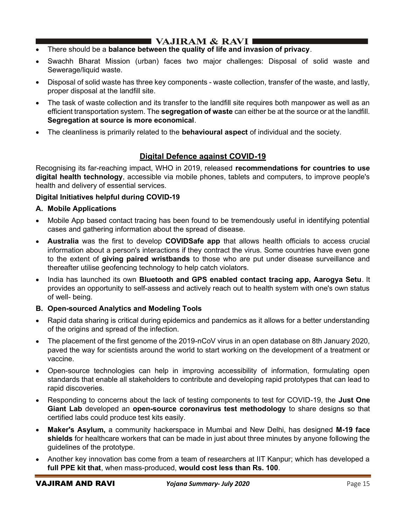## ■ VAJIRAM & RAVI ■

- There should be a balance between the quality of life and invasion of privacy.
- Swachh Bharat Mission (urban) faces two major challenges: Disposal of solid waste and Sewerage/liquid waste.
- Disposal of solid waste has three key components waste collection, transfer of the waste, and lastly, proper disposal at the landfill site.
- The task of waste collection and its transfer to the landfill site requires both manpower as well as an efficient transportation system. The **segregation of waste** can either be at the source or at the landfill. Segregation at source is more economical.
- The cleanliness is primarily related to the **behavioural aspect** of individual and the society.

## Digital Defence against COVID-19

Recognising its far-reaching impact, WHO in 2019, released recommendations for countries to use digital health technology, accessible via mobile phones, tablets and computers, to improve people's health and delivery of essential services.

## Digital Initiatives helpful during COVID-19

## A. Mobile Applications

- Mobile App based contact tracing has been found to be tremendously useful in identifying potential cases and gathering information about the spread of disease.
- Australia was the first to develop COVIDSafe app that allows health officials to access crucial information about a person's interactions if they contract the virus. Some countries have even gone to the extent of giving paired wristbands to those who are put under disease surveillance and thereafter utilise geofencing technology to help catch violators.
- India has launched its own Bluetooth and GPS enabled contact tracing app, Aarogya Setu. It provides an opportunity to self-assess and actively reach out to health system with one's own status of well- being.

## B. Open-sourced Analytics and Modeling Tools

- Rapid data sharing is critical during epidemics and pandemics as it allows for a better understanding of the origins and spread of the infection.
- The placement of the first genome of the 2019-nCoV virus in an open database on 8th January 2020, paved the way for scientists around the world to start working on the development of a treatment or vaccine.
- Open-source technologies can help in improving accessibility of information, formulating open standards that enable all stakeholders to contribute and developing rapid prototypes that can lead to rapid discoveries.
- Responding to concerns about the lack of testing components to test for COVID-19, the Just One Giant Lab developed an open-source coronavirus test methodology to share designs so that certified labs could produce test kits easily.
- Maker's Asylum, a community hackerspace in Mumbai and New Delhi, has designed M-19 face  $\bullet$ shields for healthcare workers that can be made in just about three minutes by anyone following the guidelines of the prototype.
- Another key innovation bas come from a team of researchers at IIT Kanpur; which has developed a full PPE kit that, when mass-produced, would cost less than Rs. 100.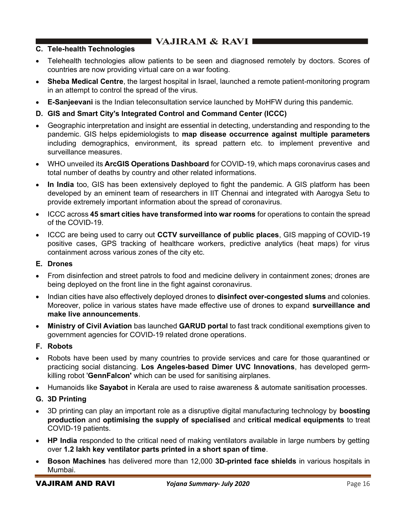## C. Tele-health Technologies

- Telehealth technologies allow patients to be seen and diagnosed remotely by doctors. Scores of countries are now providing virtual care on a war footing.
- Sheba Medical Centre, the largest hospital in Israel, launched a remote patient-monitoring program in an attempt to control the spread of the virus.
- E-Sanjeevani is the Indian teleconsultation service launched by MoHFW during this pandemic.
- D. GIS and Smart City's Integrated Control and Command Center (ICCC)
- Geographic interpretation and insight are essential in detecting, understanding and responding to the pandemic. GIS helps epidemiologists to map disease occurrence against multiple parameters including demographics, environment, its spread pattern etc. to implement preventive and surveillance measures.
- WHO unveiled its ArcGIS Operations Dashboard for COVID-19, which maps coronavirus cases and total number of deaths by country and other related informations.
- In India too, GIS has been extensively deployed to fight the pandemic. A GIS platform has been developed by an eminent team of researchers in IIT Chennai and integrated with Aarogya Setu to provide extremely important information about the spread of coronavirus.
- ICCC across 45 smart cities have transformed into war rooms for operations to contain the spread of the COVID-19.
- ICCC are being used to carry out CCTV surveillance of public places, GIS mapping of COVID-19 positive cases, GPS tracking of healthcare workers, predictive analytics (heat maps) for virus containment across various zones of the city etc.

## E. Drones

- From disinfection and street patrols to food and medicine delivery in containment zones; drones are being deployed on the front line in the fight against coronavirus.
- Indian cities have also effectively deployed drones to disinfect over-congested slums and colonies. Moreover, police in various states have made effective use of drones to expand surveillance and make live announcements.
- Ministry of Civil Aviation bas launched GARUD portal to fast track conditional exemptions given to government agencies for COVID-19 related drone operations.

## F. Robots

- Robots have been used by many countries to provide services and care for those quarantined or practicing social distancing. Los Angeles-based Dimer UVC Innovations, has developed germkilling robot 'GennFalcon' which can be used for sanitising airplanes.
- Humanoids like Sayabot in Kerala are used to raise awareness & automate sanitisation processes.
- G. 3D Printing
- 3D printing can play an important role as a disruptive digital manufacturing technology by **boosting** production and optimising the supply of specialised and critical medical equipments to treat COVID-19 patients.
- HP India responded to the critical need of making ventilators available in large numbers by getting over 1.2 lakh key ventilator parts printed in a short span of time.
- Boson Machines has delivered more than 12,000 3D-printed face shields in various hospitals in Mumbai.